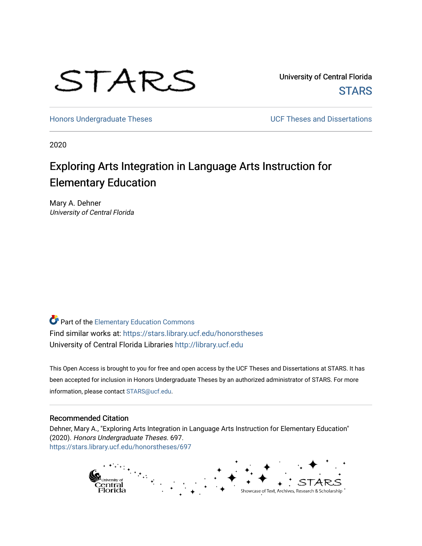

University of Central Florida **STARS** 

[Honors Undergraduate Theses](https://stars.library.ucf.edu/honorstheses) **Exercise 2018** UCF Theses and Dissertations

2020

# Exploring Arts Integration in Language Arts Instruction for Elementary Education

Mary A. Dehner University of Central Florida

Part of the [Elementary Education Commons](http://network.bepress.com/hgg/discipline/1378?utm_source=stars.library.ucf.edu%2Fhonorstheses%2F697&utm_medium=PDF&utm_campaign=PDFCoverPages)  Find similar works at: <https://stars.library.ucf.edu/honorstheses> University of Central Florida Libraries [http://library.ucf.edu](http://library.ucf.edu/) 

This Open Access is brought to you for free and open access by the UCF Theses and Dissertations at STARS. It has been accepted for inclusion in Honors Undergraduate Theses by an authorized administrator of STARS. For more information, please contact [STARS@ucf.edu.](mailto:STARS@ucf.edu)

#### Recommended Citation

Dehner, Mary A., "Exploring Arts Integration in Language Arts Instruction for Elementary Education" (2020). Honors Undergraduate Theses. 697. [https://stars.library.ucf.edu/honorstheses/697](https://stars.library.ucf.edu/honorstheses/697?utm_source=stars.library.ucf.edu%2Fhonorstheses%2F697&utm_medium=PDF&utm_campaign=PDFCoverPages) 

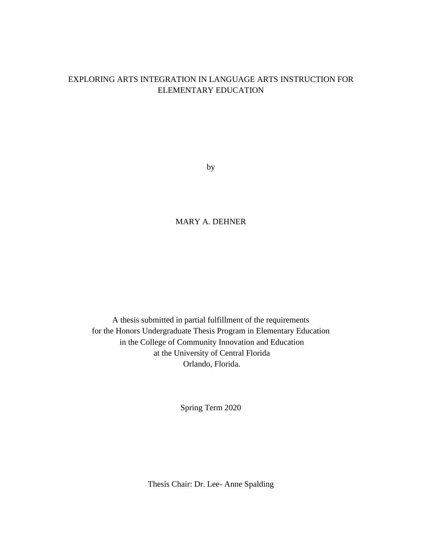## EXPLORING ARTS INTEGRATION IN LANGUAGE ARTS INSTRUCTION FOR ELEMENTARY EDUCATION

by

# MARY A. DEHNER

A thesis submitted in partial fulfillment of the requirements for the Honors Undergraduate Thesis Program in Elementary Education in the College of Community Innovation and Education at the University of Central Florida Orlando, Florida.

Spring Term 2020

Thesis Chair: Dr. Lee- Anne Spalding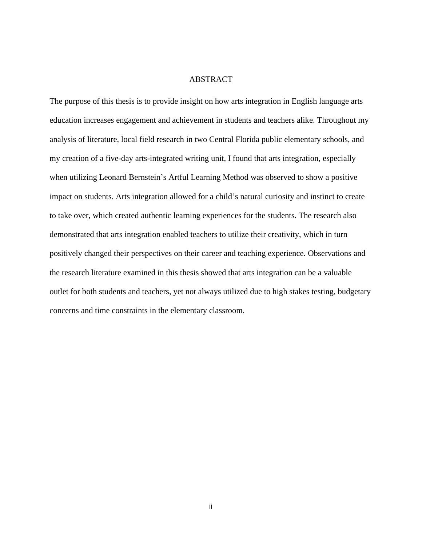#### ABSTRACT

The purpose of this thesis is to provide insight on how arts integration in English language arts education increases engagement and achievement in students and teachers alike. Throughout my analysis of literature, local field research in two Central Florida public elementary schools, and my creation of a five-day arts-integrated writing unit, I found that arts integration, especially when utilizing Leonard Bernstein's Artful Learning Method was observed to show a positive impact on students. Arts integration allowed for a child's natural curiosity and instinct to create to take over, which created authentic learning experiences for the students. The research also demonstrated that arts integration enabled teachers to utilize their creativity, which in turn positively changed their perspectives on their career and teaching experience. Observations and the research literature examined in this thesis showed that arts integration can be a valuable outlet for both students and teachers, yet not always utilized due to high stakes testing, budgetary concerns and time constraints in the elementary classroom.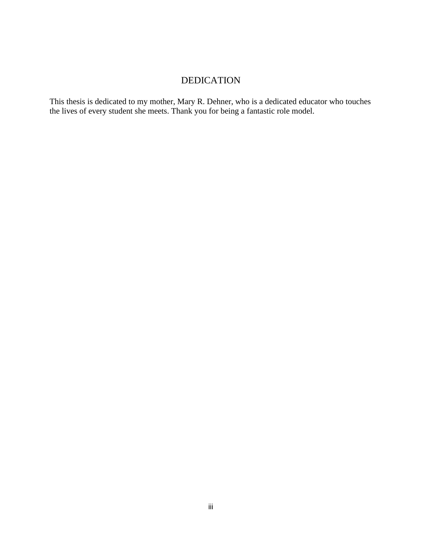# DEDICATION

This thesis is dedicated to my mother, Mary R. Dehner, who is a dedicated educator who touches the lives of every student she meets. Thank you for being a fantastic role model.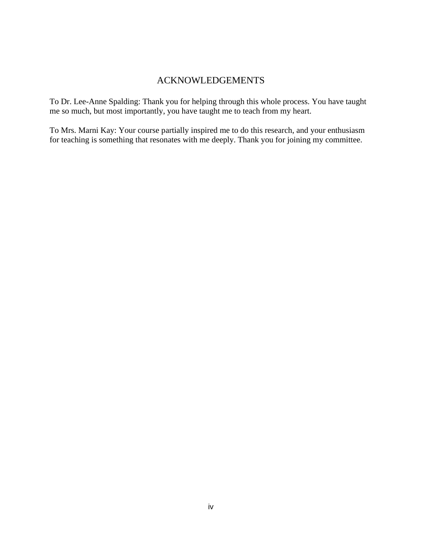# ACKNOWLEDGEMENTS

To Dr. Lee-Anne Spalding: Thank you for helping through this whole process. You have taught me so much, but most importantly, you have taught me to teach from my heart.

To Mrs. Marni Kay: Your course partially inspired me to do this research, and your enthusiasm for teaching is something that resonates with me deeply. Thank you for joining my committee.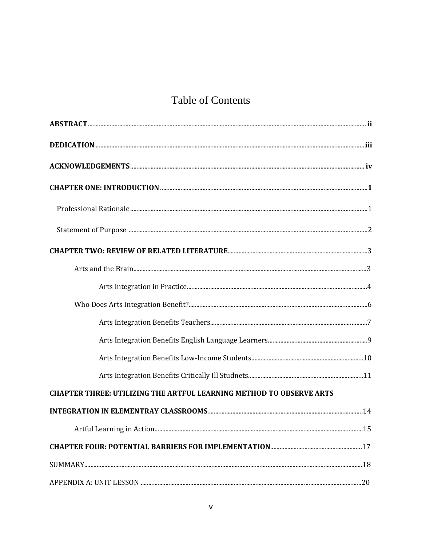# **Table of Contents**

| <b>CHAPTER THREE: UTILIZING THE ARTFUL LEARNING METHOD TO OBSERVE ARTS</b> |  |
|----------------------------------------------------------------------------|--|
|                                                                            |  |
|                                                                            |  |
|                                                                            |  |
|                                                                            |  |
|                                                                            |  |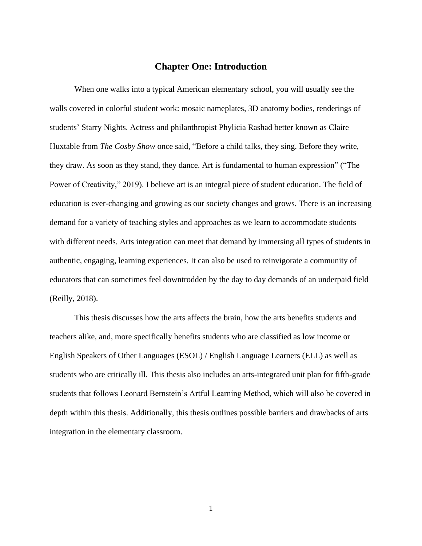## **Chapter One: Introduction**

When one walks into a typical American elementary school, you will usually see the walls covered in colorful student work: mosaic nameplates, 3D anatomy bodies, renderings of students' Starry Nights. Actress and philanthropist Phylicia Rashad better known as Claire Huxtable from *The Cosby Show* once said, "Before a child talks, they sing. Before they write, they draw. As soon as they stand, they dance. Art is fundamental to human expression" ("The Power of Creativity," 2019). I believe art is an integral piece of student education. The field of education is ever-changing and growing as our society changes and grows. There is an increasing demand for a variety of teaching styles and approaches as we learn to accommodate students with different needs. Arts integration can meet that demand by immersing all types of students in authentic, engaging, learning experiences. It can also be used to reinvigorate a community of educators that can sometimes feel downtrodden by the day to day demands of an underpaid field (Reilly, 2018).

This thesis discusses how the arts affects the brain, how the arts benefits students and teachers alike, and, more specifically benefits students who are classified as low income or English Speakers of Other Languages (ESOL) / English Language Learners (ELL) as well as students who are critically ill. This thesis also includes an arts-integrated unit plan for fifth-grade students that follows Leonard Bernstein's Artful Learning Method, which will also be covered in depth within this thesis. Additionally, this thesis outlines possible barriers and drawbacks of arts integration in the elementary classroom.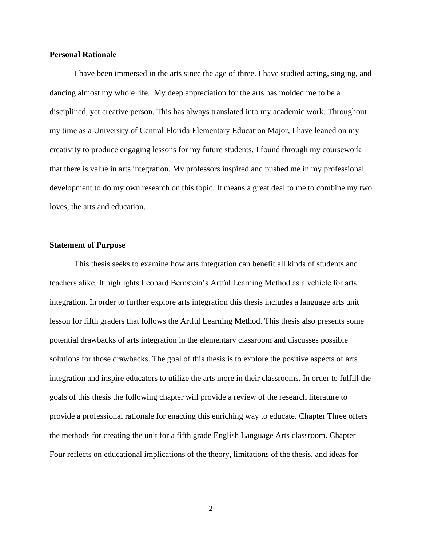#### **Personal Rationale**

I have been immersed in the arts since the age of three. I have studied acting, singing, and dancing almost my whole life. My deep appreciation for the arts has molded me to be a disciplined, yet creative person. This has always translated into my academic work. Throughout my time as a University of Central Florida Elementary Education Major, I have leaned on my creativity to produce engaging lessons for my future students. I found through my coursework that there is value in arts integration. My professors inspired and pushed me in my professional development to do my own research on this topic. It means a great deal to me to combine my two loves, the arts and education.

#### **Statement of Purpose**

This thesis seeks to examine how arts integration can benefit all kinds of students and teachers alike. It highlights Leonard Bernstein's Artful Learning Method as a vehicle for arts integration. In order to further explore arts integration this thesis includes a language arts unit lesson for fifth graders that follows the Artful Learning Method. This thesis also presents some potential drawbacks of arts integration in the elementary classroom and discusses possible solutions for those drawbacks. The goal of this thesis is to explore the positive aspects of arts integration and inspire educators to utilize the arts more in their classrooms. In order to fulfill the goals of this thesis the following chapter will provide a review of the research literature to provide a professional rationale for enacting this enriching way to educate. Chapter Three offers the methods for creating the unit for a fifth grade English Language Arts classroom. Chapter Four reflects on educational implications of the theory, limitations of the thesis, and ideas for

2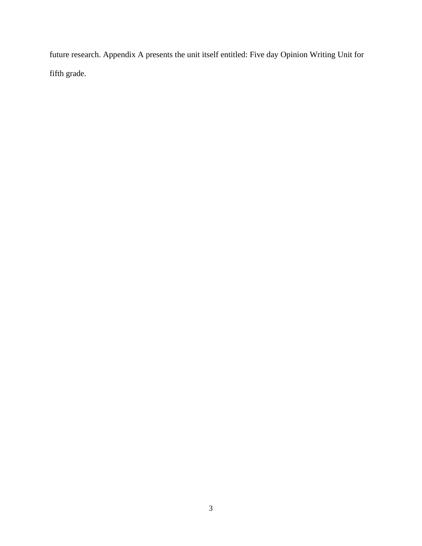future research. Appendix A presents the unit itself entitled: Five day Opinion Writing Unit for fifth grade.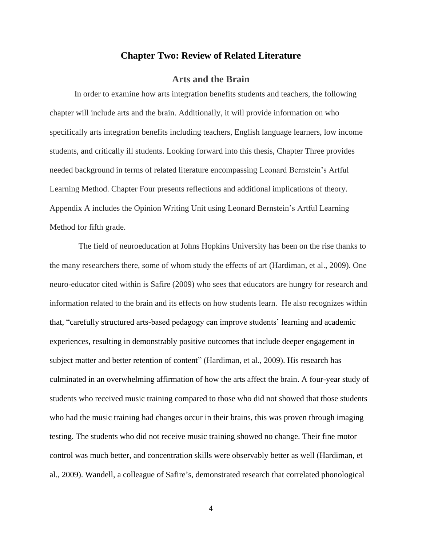#### **Chapter Two: Review of Related Literature**

## **Arts and the Brain**

In order to examine how arts integration benefits students and teachers, the following chapter will include arts and the brain. Additionally, it will provide information on who specifically arts integration benefits including teachers, English language learners, low income students, and critically ill students. Looking forward into this thesis, Chapter Three provides needed background in terms of related literature encompassing Leonard Bernstein's Artful Learning Method. Chapter Four presents reflections and additional implications of theory. Appendix A includes the Opinion Writing Unit using Leonard Bernstein's Artful Learning Method for fifth grade.

The field of neuroeducation at Johns Hopkins University has been on the rise thanks to the many researchers there, some of whom study the effects of art (Hardiman, et al., 2009). One neuro-educator cited within is Safire (2009) who sees that educators are hungry for research and information related to the brain and its effects on how students learn. He also recognizes within that, "carefully structured arts-based pedagogy can improve students' learning and academic experiences, resulting in demonstrably positive outcomes that include deeper engagement in subject matter and better retention of content" (Hardiman, et al., 2009). His research has culminated in an overwhelming affirmation of how the arts affect the brain. A four-year study of students who received music training compared to those who did not showed that those students who had the music training had changes occur in their brains, this was proven through imaging testing. The students who did not receive music training showed no change. Their fine motor control was much better, and concentration skills were observably better as well (Hardiman, et al., 2009). Wandell, a colleague of Safire's, demonstrated research that correlated phonological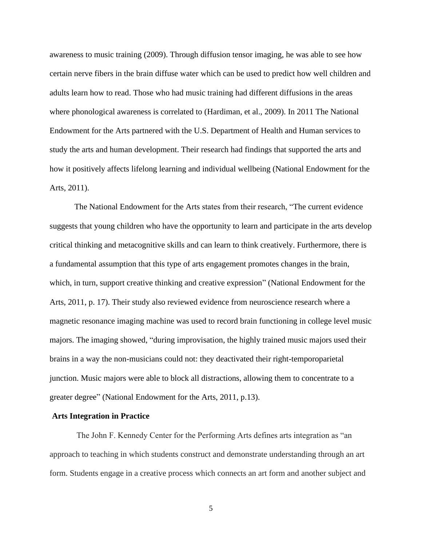awareness to music training (2009). Through diffusion tensor imaging, he was able to see how certain nerve fibers in the brain diffuse water which can be used to predict how well children and adults learn how to read. Those who had music training had different diffusions in the areas where phonological awareness is correlated to (Hardiman, et al., 2009). In 2011 The National Endowment for the Arts partnered with the U.S. Department of Health and Human services to study the arts and human development. Their research had findings that supported the arts and how it positively affects lifelong learning and individual wellbeing (National Endowment for the Arts, 2011).

The National Endowment for the Arts states from their research, "The current evidence suggests that young children who have the opportunity to learn and participate in the arts develop critical thinking and metacognitive skills and can learn to think creatively. Furthermore, there is a fundamental assumption that this type of arts engagement promotes changes in the brain, which, in turn, support creative thinking and creative expression" (National Endowment for the Arts, 2011, p. 17). Their study also reviewed evidence from neuroscience research where a magnetic resonance imaging machine was used to record brain functioning in college level music majors. The imaging showed, "during improvisation, the highly trained music majors used their brains in a way the non-musicians could not: they deactivated their right-temporoparietal junction. Music majors were able to block all distractions, allowing them to concentrate to a greater degree" (National Endowment for the Arts, 2011, p.13).

#### **Arts Integration in Practice**

The John F. Kennedy Center for the Performing Arts defines arts integration as "an approach to teaching in which students construct and demonstrate understanding through an art form. Students engage in a creative process which connects an art form and another subject and

5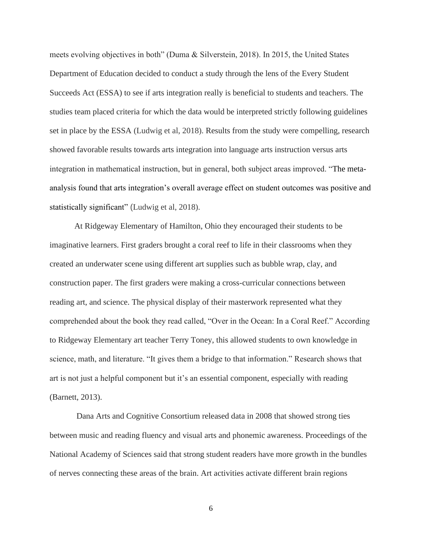meets evolving objectives in both" (Duma & Silverstein, 2018). In 2015, the United States Department of Education decided to conduct a study through the lens of the Every Student Succeeds Act (ESSA) to see if arts integration really is beneficial to students and teachers. The studies team placed criteria for which the data would be interpreted strictly following guidelines set in place by the ESSA (Ludwig et al, 2018). Results from the study were compelling, research showed favorable results towards arts integration into language arts instruction versus arts integration in mathematical instruction, but in general, both subject areas improved. "The metaanalysis found that arts integration's overall average effect on student outcomes was positive and statistically significant" (Ludwig et al, 2018).

At Ridgeway Elementary of Hamilton, Ohio they encouraged their students to be imaginative learners. First graders brought a coral reef to life in their classrooms when they created an underwater scene using different art supplies such as bubble wrap, clay, and construction paper. The first graders were making a cross-curricular connections between reading art, and science. The physical display of their masterwork represented what they comprehended about the book they read called, "Over in the Ocean: In a Coral Reef." According to Ridgeway Elementary art teacher Terry Toney, this allowed students to own knowledge in science, math, and literature. "It gives them a bridge to that information." Research shows that art is not just a helpful component but it's an essential component, especially with reading (Barnett, 2013).

Dana Arts and Cognitive Consortium released data in 2008 that showed strong ties between music and reading fluency and visual arts and phonemic awareness. Proceedings of the National Academy of Sciences said that strong student readers have more growth in the bundles of nerves connecting these areas of the brain. Art activities activate different brain regions

6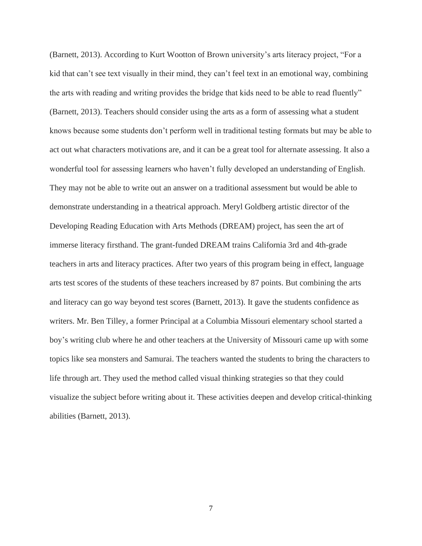(Barnett, 2013). According to Kurt Wootton of Brown university's arts literacy project, "For a kid that can't see text visually in their mind, they can't feel text in an emotional way, combining the arts with reading and writing provides the bridge that kids need to be able to read fluently" (Barnett, 2013). Teachers should consider using the arts as a form of assessing what a student knows because some students don't perform well in traditional testing formats but may be able to act out what characters motivations are, and it can be a great tool for alternate assessing. It also a wonderful tool for assessing learners who haven't fully developed an understanding of English. They may not be able to write out an answer on a traditional assessment but would be able to demonstrate understanding in a theatrical approach. Meryl Goldberg artistic director of the Developing Reading Education with Arts Methods (DREAM) project, has seen the art of immerse literacy firsthand. The grant-funded DREAM trains California 3rd and 4th-grade teachers in arts and literacy practices. After two years of this program being in effect, language arts test scores of the students of these teachers increased by 87 points. But combining the arts and literacy can go way beyond test scores (Barnett, 2013). It gave the students confidence as writers. Mr. Ben Tilley, a former Principal at a Columbia Missouri elementary school started a boy's writing club where he and other teachers at the University of Missouri came up with some topics like sea monsters and Samurai. The teachers wanted the students to bring the characters to life through art. They used the method called visual thinking strategies so that they could visualize the subject before writing about it. These activities deepen and develop critical-thinking abilities (Barnett, 2013).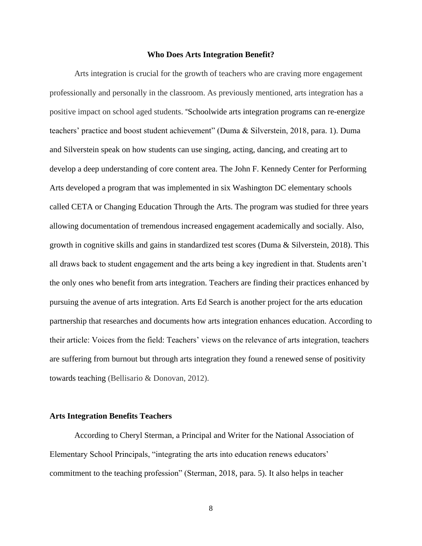#### **Who Does Arts Integration Benefit?**

Arts integration is crucial for the growth of teachers who are craving more engagement professionally and personally in the classroom. As previously mentioned, arts integration has a positive impact on school aged students. "Schoolwide arts integration programs can re-energize teachers' practice and boost student achievement" (Duma & Silverstein, 2018, para. 1). Duma and Silverstein speak on how students can use singing, acting, dancing, and creating art to develop a deep understanding of core content area. The John F. Kennedy Center for Performing Arts developed a program that was implemented in six Washington DC elementary schools called CETA or Changing Education Through the Arts. The program was studied for three years allowing documentation of tremendous increased engagement academically and socially. Also, growth in cognitive skills and gains in standardized test scores (Duma & Silverstein, 2018). This all draws back to student engagement and the arts being a key ingredient in that. Students aren't the only ones who benefit from arts integration. Teachers are finding their practices enhanced by pursuing the avenue of arts integration. Arts Ed Search is another project for the arts education partnership that researches and documents how arts integration enhances education. According to their article: Voices from the field: Teachers' views on the relevance of arts integration, teachers are suffering from burnout but through arts integration they found a renewed sense of positivity towards teaching (Bellisario & Donovan, 2012).

#### **Arts Integration Benefits Teachers**

According to Cheryl Sterman, a Principal and Writer for the National Association of Elementary School Principals, "integrating the arts into education renews educators' commitment to the teaching profession" (Sterman, 2018, para. 5). It also helps in teacher

8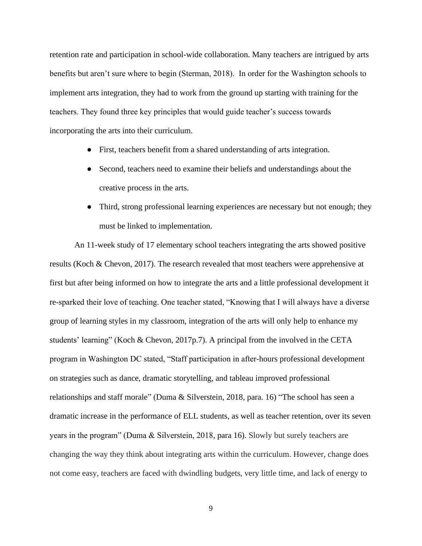retention rate and participation in school-wide collaboration. Many teachers are intrigued by arts benefits but aren't sure where to begin (Sterman, 2018). In order for the Washington schools to implement arts integration, they had to work from the ground up starting with training for the teachers. They found three key principles that would guide teacher's success towards incorporating the arts into their curriculum.

- First, teachers benefit from a shared understanding of arts integration.
- Second, teachers need to examine their beliefs and understandings about the creative process in the arts.
- Third, strong professional learning experiences are necessary but not enough; they must be linked to implementation.

An 11-week study of 17 elementary school teachers integrating the arts showed positive results (Koch & Chevon, 2017). The research revealed that most teachers were apprehensive at first but after being informed on how to integrate the arts and a little professional development it re-sparked their love of teaching. One teacher stated, "Knowing that I will always have a diverse group of learning styles in my classroom, integration of the arts will only help to enhance my students' learning" (Koch & Chevon, 2017p.7). A principal from the involved in the CETA program in Washington DC stated, "Staff participation in after-hours professional development on strategies such as dance, dramatic storytelling, and tableau improved professional relationships and staff morale" (Duma & Silverstein, 2018, para. 16) "The school has seen a dramatic increase in the performance of ELL students, as well as teacher retention, over its seven years in the program" (Duma & Silverstein, 2018, para 16). Slowly but surely teachers are changing the way they think about integrating arts within the curriculum. However, change does not come easy, teachers are faced with dwindling budgets, very little time, and lack of energy to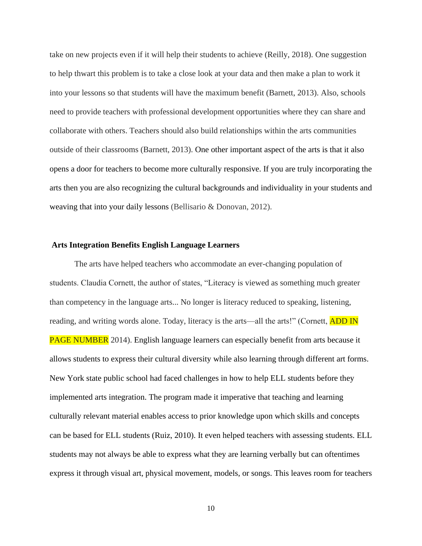take on new projects even if it will help their students to achieve (Reilly, 2018). One suggestion to help thwart this problem is to take a close look at your data and then make a plan to work it into your lessons so that students will have the maximum benefit (Barnett, 2013). Also, schools need to provide teachers with professional development opportunities where they can share and collaborate with others. Teachers should also build relationships within the arts communities outside of their classrooms (Barnett, 2013). One other important aspect of the arts is that it also opens a door for teachers to become more culturally responsive. If you are truly incorporating the arts then you are also recognizing the cultural backgrounds and individuality in your students and weaving that into your daily lessons (Bellisario & Donovan, 2012).

#### **Arts Integration Benefits English Language Learners**

The arts have helped teachers who accommodate an ever-changing population of students. Claudia Cornett, the author of states, "Literacy is viewed as something much greater than competency in the language arts... No longer is literacy reduced to speaking, listening, reading, and writing words alone. Today, literacy is the arts—all the arts!" (Cornett, **ADD IN** PAGE NUMBER 2014). English language learners can especially benefit from arts because it allows students to express their cultural diversity while also learning through different art forms. New York state public school had faced challenges in how to help ELL students before they implemented arts integration. The program made it imperative that teaching and learning culturally relevant material enables access to prior knowledge upon which skills and concepts can be based for ELL students (Ruiz, 2010). It even helped teachers with assessing students. ELL students may not always be able to express what they are learning verbally but can oftentimes express it through visual art, physical movement, models, or songs. This leaves room for teachers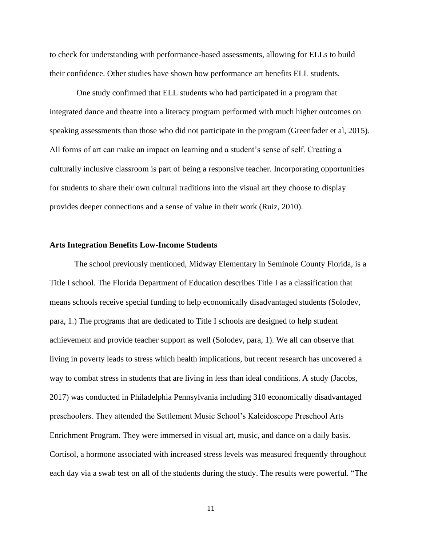to check for understanding with performance-based assessments, allowing for ELLs to build their confidence. Other studies have shown how performance art benefits ELL students.

One study confirmed that ELL students who had participated in a program that integrated dance and theatre into a literacy program performed with much higher outcomes on speaking assessments than those who did not participate in the program (Greenfader et al, 2015). All forms of art can make an impact on learning and a student's sense of self. Creating a culturally inclusive classroom is part of being a responsive teacher. Incorporating opportunities for students to share their own cultural traditions into the visual art they choose to display provides deeper connections and a sense of value in their work (Ruiz, 2010).

#### **Arts Integration Benefits Low-Income Students**

The school previously mentioned, Midway Elementary in Seminole County Florida, is a Title I school. The Florida Department of Education describes Title I as a classification that means schools receive special funding to help economically disadvantaged students (Solodev, para, 1.) The programs that are dedicated to Title I schools are designed to help student achievement and provide teacher support as well (Solodev, para, 1). We all can observe that living in poverty leads to stress which health implications, but recent research has uncovered a way to combat stress in students that are living in less than ideal conditions. A study (Jacobs, 2017) was conducted in Philadelphia Pennsylvania including 310 economically disadvantaged preschoolers. They attended the Settlement Music School's Kaleidoscope Preschool Arts Enrichment Program. They were immersed in visual art, music, and dance on a daily basis. Cortisol, a hormone associated with increased stress levels was measured frequently throughout each day via a swab test on all of the students during the study. The results were powerful. "The

11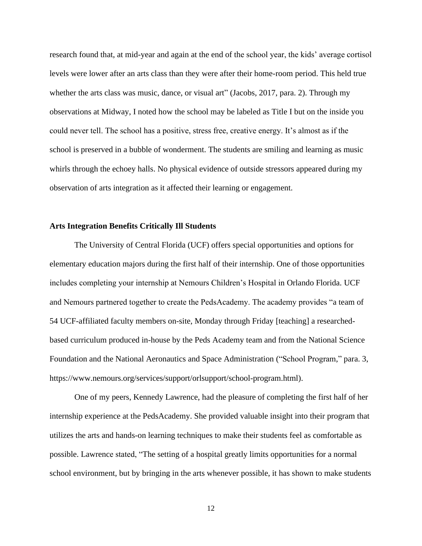research found that, at mid-year and again at the end of the school year, the kids' average cortisol levels were lower after an arts class than they were after their home-room period. This held true whether the arts class was music, dance, or visual art" (Jacobs, 2017, para. 2). Through my observations at Midway, I noted how the school may be labeled as Title I but on the inside you could never tell. The school has a positive, stress free, creative energy. It's almost as if the school is preserved in a bubble of wonderment. The students are smiling and learning as music whirls through the echoey halls. No physical evidence of outside stressors appeared during my observation of arts integration as it affected their learning or engagement.

#### **Arts Integration Benefits Critically Ill Students**

The University of Central Florida (UCF) offers special opportunities and options for elementary education majors during the first half of their internship. One of those opportunities includes completing your internship at Nemours Children's Hospital in Orlando Florida. UCF and Nemours partnered together to create the PedsAcademy. The academy provides "a team of 54 UCF-affiliated faculty members on-site, Monday through Friday [teaching] a researchedbased curriculum produced in-house by the Peds Academy team and from the National Science Foundation and the National Aeronautics and Space Administration ("School Program," para. 3, https://www.nemours.org/services/support/orlsupport/school-program.html).

One of my peers, Kennedy Lawrence, had the pleasure of completing the first half of her internship experience at the PedsAcademy. She provided valuable insight into their program that utilizes the arts and hands-on learning techniques to make their students feel as comfortable as possible. Lawrence stated, "The setting of a hospital greatly limits opportunities for a normal school environment, but by bringing in the arts whenever possible, it has shown to make students

12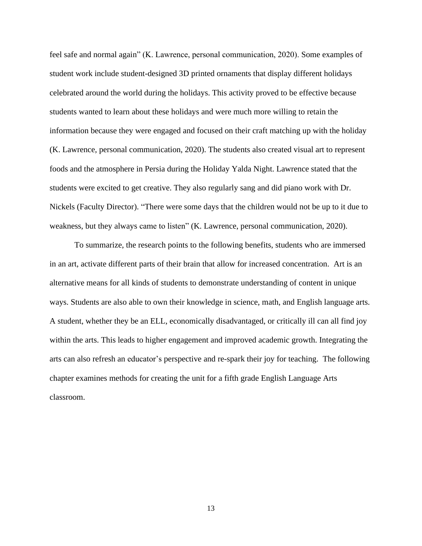feel safe and normal again" (K. Lawrence, personal communication, 2020). Some examples of student work include student-designed 3D printed ornaments that display different holidays celebrated around the world during the holidays. This activity proved to be effective because students wanted to learn about these holidays and were much more willing to retain the information because they were engaged and focused on their craft matching up with the holiday (K. Lawrence, personal communication, 2020). The students also created visual art to represent foods and the atmosphere in Persia during the Holiday Yalda Night. Lawrence stated that the students were excited to get creative. They also regularly sang and did piano work with Dr. Nickels (Faculty Director). "There were some days that the children would not be up to it due to weakness, but they always came to listen" (K. Lawrence, personal communication, 2020).

To summarize, the research points to the following benefits, students who are immersed in an art, activate different parts of their brain that allow for increased concentration. Art is an alternative means for all kinds of students to demonstrate understanding of content in unique ways. Students are also able to own their knowledge in science, math, and English language arts. A student, whether they be an ELL, economically disadvantaged, or critically ill can all find joy within the arts. This leads to higher engagement and improved academic growth. Integrating the arts can also refresh an educator's perspective and re-spark their joy for teaching. The following chapter examines methods for creating the unit for a fifth grade English Language Arts classroom.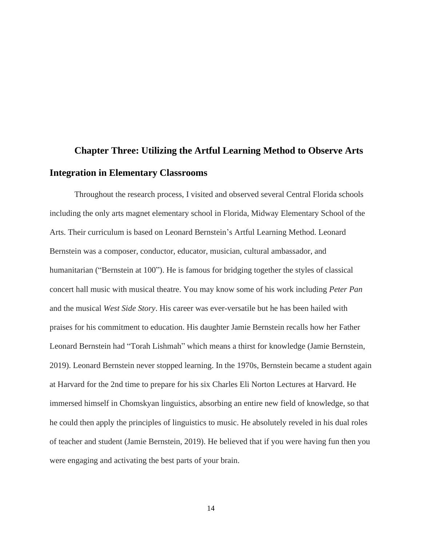# **Chapter Three: Utilizing the Artful Learning Method to Observe Arts Integration in Elementary Classrooms**

Throughout the research process, I visited and observed several Central Florida schools including the only arts magnet elementary school in Florida, Midway Elementary School of the Arts. Their curriculum is based on Leonard Bernstein's Artful Learning Method. Leonard Bernstein was a composer, conductor, educator, musician, cultural ambassador, and humanitarian ("Bernstein at 100"). He is famous for bridging together the styles of classical concert hall music with musical theatre. You may know some of his work including *Peter Pan* and the musical *West Side Story*. His career was ever-versatile but he has been hailed with praises for his commitment to education. His daughter Jamie Bernstein recalls how her Father Leonard Bernstein had "Torah Lishmah" which means a thirst for knowledge (Jamie Bernstein, 2019). Leonard Bernstein never stopped learning. In the 1970s, Bernstein became a student again at Harvard for the 2nd time to prepare for his six Charles Eli Norton Lectures at Harvard. He immersed himself in Chomskyan linguistics, absorbing an entire new field of knowledge, so that he could then apply the principles of linguistics to music. He absolutely reveled in his dual roles of teacher and student (Jamie Bernstein, 2019). He believed that if you were having fun then you were engaging and activating the best parts of your brain.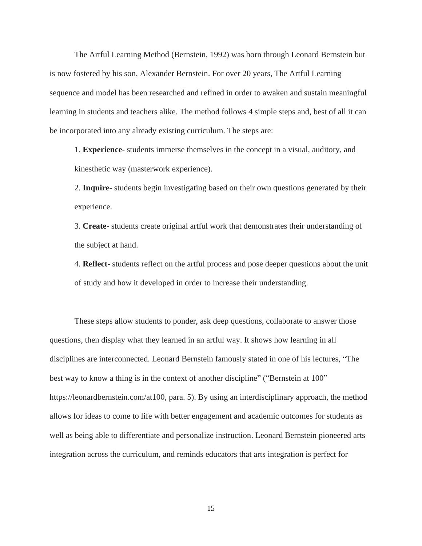The Artful Learning Method (Bernstein, 1992) was born through Leonard Bernstein but is now fostered by his son, Alexander Bernstein. For over 20 years, The Artful Learning sequence and model has been researched and refined in order to awaken and sustain meaningful learning in students and teachers alike. The method follows 4 simple steps and, best of all it can be incorporated into any already existing curriculum. The steps are:

1. **Experience**- students immerse themselves in the concept in a visual, auditory, and kinesthetic way (masterwork experience).

2. **Inquire**- students begin investigating based on their own questions generated by their experience.

3. **Create**- students create original artful work that demonstrates their understanding of the subject at hand.

4. **Reflect**- students reflect on the artful process and pose deeper questions about the unit of study and how it developed in order to increase their understanding.

These steps allow students to ponder, ask deep questions, collaborate to answer those questions, then display what they learned in an artful way. It shows how learning in all disciplines are interconnected. Leonard Bernstein famously stated in one of his lectures, "The best way to know a thing is in the context of another discipline" ("Bernstein at 100" https://leonardbernstein.com/at100, para. 5). By using an interdisciplinary approach, the method allows for ideas to come to life with better engagement and academic outcomes for students as well as being able to differentiate and personalize instruction. Leonard Bernstein pioneered arts integration across the curriculum, and reminds educators that arts integration is perfect for

15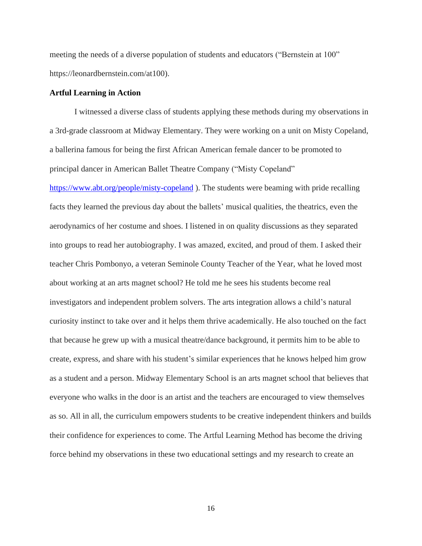meeting the needs of a diverse population of students and educators ("Bernstein at 100" https://leonardbernstein.com/at100).

#### **Artful Learning in Action**

I witnessed a diverse class of students applying these methods during my observations in a 3rd-grade classroom at Midway Elementary. They were working on a unit on Misty Copeland, a ballerina famous for being the first African American female dancer to be promoted to principal dancer in American Ballet Theatre Company ("Misty Copeland"

<https://www.abt.org/people/misty-copeland> ). The students were beaming with pride recalling facts they learned the previous day about the ballets' musical qualities, the theatrics, even the aerodynamics of her costume and shoes. I listened in on quality discussions as they separated into groups to read her autobiography. I was amazed, excited, and proud of them. I asked their teacher Chris Pombonyo, a veteran Seminole County Teacher of the Year, what he loved most about working at an arts magnet school? He told me he sees his students become real investigators and independent problem solvers. The arts integration allows a child's natural curiosity instinct to take over and it helps them thrive academically. He also touched on the fact that because he grew up with a musical theatre/dance background, it permits him to be able to create, express, and share with his student's similar experiences that he knows helped him grow as a student and a person. Midway Elementary School is an arts magnet school that believes that everyone who walks in the door is an artist and the teachers are encouraged to view themselves as so. All in all, the curriculum empowers students to be creative independent thinkers and builds their confidence for experiences to come. The Artful Learning Method has become the driving force behind my observations in these two educational settings and my research to create an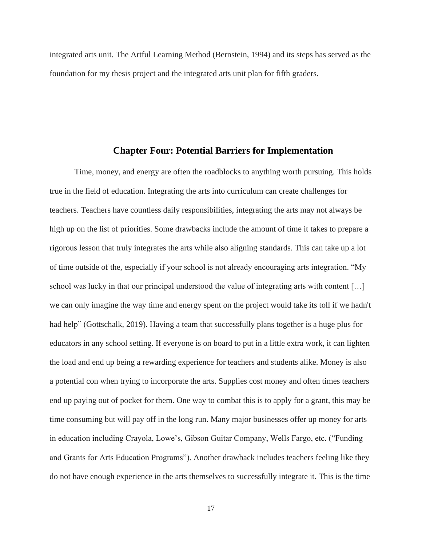integrated arts unit. The Artful Learning Method (Bernstein, 1994) and its steps has served as the foundation for my thesis project and the integrated arts unit plan for fifth graders.

#### **Chapter Four: Potential Barriers for Implementation**

Time, money, and energy are often the roadblocks to anything worth pursuing. This holds true in the field of education. Integrating the arts into curriculum can create challenges for teachers. Teachers have countless daily responsibilities, integrating the arts may not always be high up on the list of priorities. Some drawbacks include the amount of time it takes to prepare a rigorous lesson that truly integrates the arts while also aligning standards. This can take up a lot of time outside of the, especially if your school is not already encouraging arts integration. "My school was lucky in that our principal understood the value of integrating arts with content […] we can only imagine the way time and energy spent on the project would take its toll if we hadn't had help" (Gottschalk, 2019). Having a team that successfully plans together is a huge plus for educators in any school setting. If everyone is on board to put in a little extra work, it can lighten the load and end up being a rewarding experience for teachers and students alike. Money is also a potential con when trying to incorporate the arts. Supplies cost money and often times teachers end up paying out of pocket for them. One way to combat this is to apply for a grant, this may be time consuming but will pay off in the long run. Many major businesses offer up money for arts in education including Crayola, Lowe's, Gibson Guitar Company, Wells Fargo, etc. ("Funding and Grants for Arts Education Programs"). Another drawback includes teachers feeling like they do not have enough experience in the arts themselves to successfully integrate it. This is the time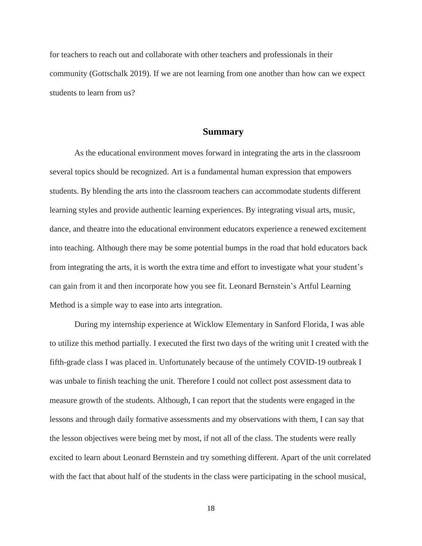for teachers to reach out and collaborate with other teachers and professionals in their community (Gottschalk 2019). If we are not learning from one another than how can we expect students to learn from us?

#### **Summary**

As the educational environment moves forward in integrating the arts in the classroom several topics should be recognized. Art is a fundamental human expression that empowers students. By blending the arts into the classroom teachers can accommodate students different learning styles and provide authentic learning experiences. By integrating visual arts, music, dance, and theatre into the educational environment educators experience a renewed excitement into teaching. Although there may be some potential bumps in the road that hold educators back from integrating the arts, it is worth the extra time and effort to investigate what your student's can gain from it and then incorporate how you see fit. Leonard Bernstein's Artful Learning Method is a simple way to ease into arts integration.

During my internship experience at Wicklow Elementary in Sanford Florida, I was able to utilize this method partially. I executed the first two days of the writing unit I created with the fifth-grade class I was placed in. Unfortunately because of the untimely COVID-19 outbreak I was unbale to finish teaching the unit. Therefore I could not collect post assessment data to measure growth of the students. Although, I can report that the students were engaged in the lessons and through daily formative assessments and my observations with them, I can say that the lesson objectives were being met by most, if not all of the class. The students were really excited to learn about Leonard Bernstein and try something different. Apart of the unit correlated with the fact that about half of the students in the class were participating in the school musical,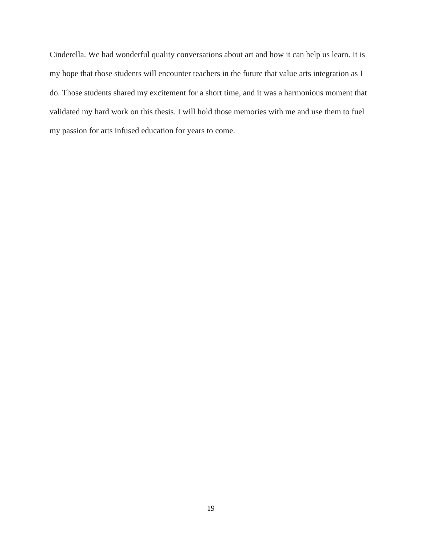Cinderella. We had wonderful quality conversations about art and how it can help us learn. It is my hope that those students will encounter teachers in the future that value arts integration as I do. Those students shared my excitement for a short time, and it was a harmonious moment that validated my hard work on this thesis. I will hold those memories with me and use them to fuel my passion for arts infused education for years to come.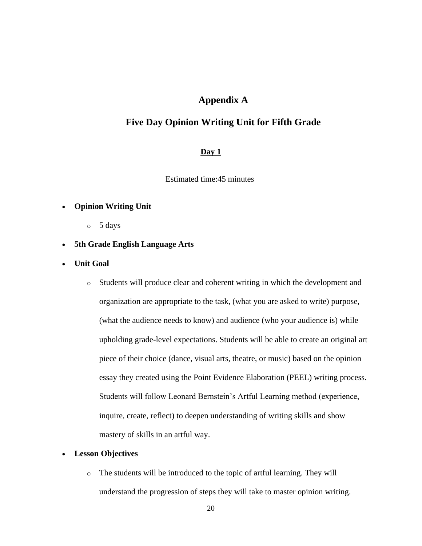# **Appendix A**

# **Five Day Opinion Writing Unit for Fifth Grade**

## **Day 1**

Estimated time:45 minutes

#### • **Opinion Writing Unit**

- o 5 days
- **5th Grade English Language Arts**
- **Unit Goal**
	- o Students will produce clear and coherent writing in which the development and organization are appropriate to the task, (what you are asked to write) purpose, (what the audience needs to know) and audience (who your audience is) while upholding grade-level expectations. Students will be able to create an original art piece of their choice (dance, visual arts, theatre, or music) based on the opinion essay they created using the Point Evidence Elaboration (PEEL) writing process. Students will follow Leonard Bernstein's Artful Learning method (experience, inquire, create, reflect) to deepen understanding of writing skills and show mastery of skills in an artful way.

#### • **Lesson Objectives**

o The students will be introduced to the topic of artful learning. They will understand the progression of steps they will take to master opinion writing.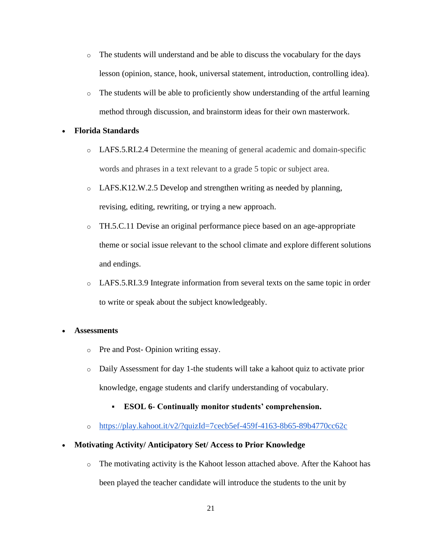- o The students will understand and be able to discuss the vocabulary for the days lesson (opinion, stance, hook, universal statement, introduction, controlling idea).
- $\circ$  The students will be able to proficiently show understanding of the artful learning method through discussion, and brainstorm ideas for their own masterwork.

#### • **Florida Standards**

- o LAFS.5.RI.2.4 Determine the meaning of general academic and domain-specific words and phrases in a text relevant to a grade 5 topic or subject area.
- o LAFS.K12.W.2.5 Develop and strengthen writing as needed by planning, revising, editing, rewriting, or trying a new approach.
- o TH.5.C.11 Devise an original performance piece based on an age-appropriate theme or social issue relevant to the school climate and explore different solutions and endings.
- o LAFS.5.RI.3.9 Integrate information from several texts on the same topic in order to write or speak about the subject knowledgeably.

#### • **Assessments**

- o Pre and Post- Opinion writing essay.
- o Daily Assessment for day 1-the students will take a kahoot quiz to activate prior knowledge, engage students and clarify understanding of vocabulary.
	- **ESOL 6- Continually monitor students' comprehension.**
- o <https://play.kahoot.it/v2/?quizId=7cecb5ef-459f-4163-8b65-89b4770cc62c>

#### • **Motivating Activity/ Anticipatory Set/ Access to Prior Knowledge**

o The motivating activity is the Kahoot lesson attached above. After the Kahoot has been played the teacher candidate will introduce the students to the unit by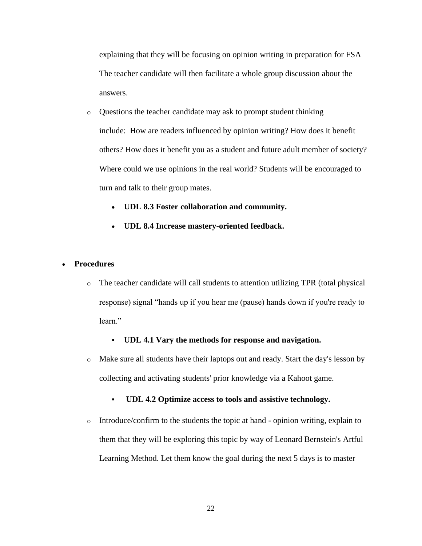explaining that they will be focusing on opinion writing in preparation for FSA The teacher candidate will then facilitate a whole group discussion about the answers.

- o Questions the teacher candidate may ask to prompt student thinking include: How are readers influenced by opinion writing? How does it benefit others? How does it benefit you as a student and future adult member of society? Where could we use opinions in the real world? Students will be encouraged to turn and talk to their group mates.
	- **UDL 8.3 Foster collaboration and community.**
	- **UDL 8.4 Increase mastery-oriented feedback.**

#### • **Procedures**

o The teacher candidate will call students to attention utilizing TPR (total physical response) signal "hands up if you hear me (pause) hands down if you're ready to learn."

#### ▪ **UDL 4.1 Vary the methods for response and navigation.**

- o Make sure all students have their laptops out and ready. Start the day's lesson by collecting and activating students' prior knowledge via a Kahoot game.
	- **UDL 4.2 Optimize access to tools and assistive technology.**
- o Introduce/confirm to the students the topic at hand opinion writing, explain to them that they will be exploring this topic by way of Leonard Bernstein's Artful Learning Method. Let them know the goal during the next 5 days is to master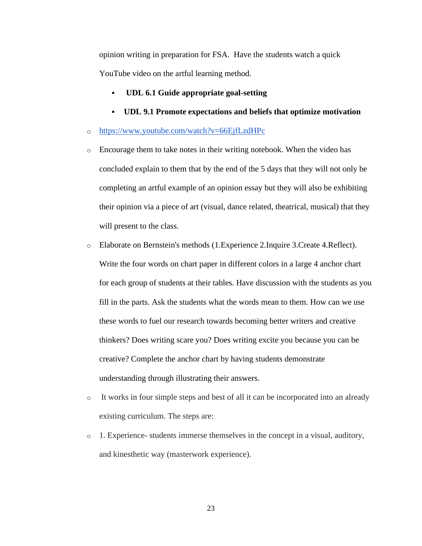opinion writing in preparation for FSA. Have the students watch a quick YouTube video on the artful learning method.

- **UDL 6.1 Guide appropriate goal-setting**
- **UDL 9.1 Promote expectations and beliefs that optimize motivation**
- o <https://www.youtube.com/watch?v=66EjfLzdHPc>
- o Encourage them to take notes in their writing notebook. When the video has concluded explain to them that by the end of the 5 days that they will not only be completing an artful example of an opinion essay but they will also be exhibiting their opinion via a piece of art (visual, dance related, theatrical, musical) that they will present to the class.
- o Elaborate on Bernstein's methods (1.Experience 2.Inquire 3.Create 4.Reflect). Write the four words on chart paper in different colors in a large 4 anchor chart for each group of students at their tables. Have discussion with the students as you fill in the parts. Ask the students what the words mean to them. How can we use these words to fuel our research towards becoming better writers and creative thinkers? Does writing scare you? Does writing excite you because you can be creative? Complete the anchor chart by having students demonstrate understanding through illustrating their answers.
- o It works in four simple steps and best of all it can be incorporated into an already existing curriculum. The steps are:
- $\circ$  1. Experience- students immerse themselves in the concept in a visual, auditory, and kinesthetic way (masterwork experience).

23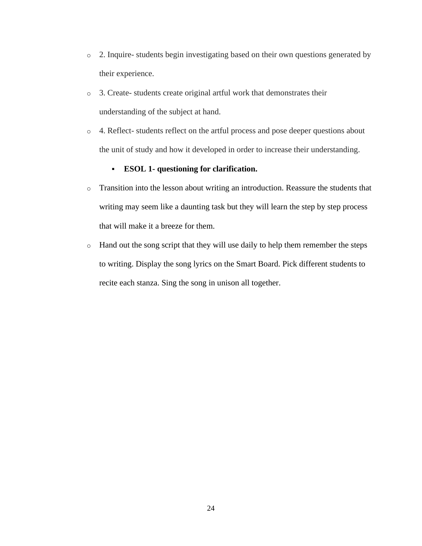- o 2. Inquire- students begin investigating based on their own questions generated by their experience.
- o 3. Create- students create original artful work that demonstrates their understanding of the subject at hand.
- o 4. Reflect- students reflect on the artful process and pose deeper questions about the unit of study and how it developed in order to increase their understanding.

## ▪ **ESOL 1- questioning for clarification.**

- o Transition into the lesson about writing an introduction. Reassure the students that writing may seem like a daunting task but they will learn the step by step process that will make it a breeze for them.
- o Hand out the song script that they will use daily to help them remember the steps to writing. Display the song lyrics on the Smart Board. Pick different students to recite each stanza. Sing the song in unison all together.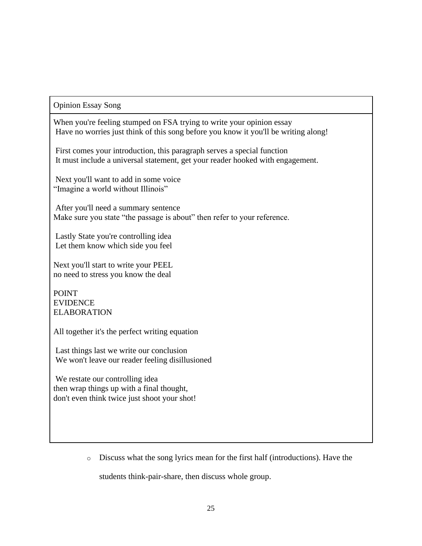## Opinion Essay Song

When you're feeling stumped on FSA trying to write your opinion essay Have no worries just think of this song before you know it you'll be writing along!

First comes your introduction, this paragraph serves a special function It must include a universal statement, get your reader hooked with engagement.

Next you'll want to add in some voice "Imagine a world without Illinois"

After you'll need a summary sentence Make sure you state "the passage is about" then refer to your reference.

Lastly State you're controlling idea Let them know which side you feel

Next you'll start to write your PEEL no need to stress you know the deal

POINT EVIDENCE ELABORATION

All together it's the perfect writing equation

Last things last we write our conclusion We won't leave our reader feeling disillusioned

We restate our controlling idea then wrap things up with a final thought, don't even think twice just shoot your shot!

o Discuss what the song lyrics mean for the first half (introductions). Have the

students think-pair-share, then discuss whole group.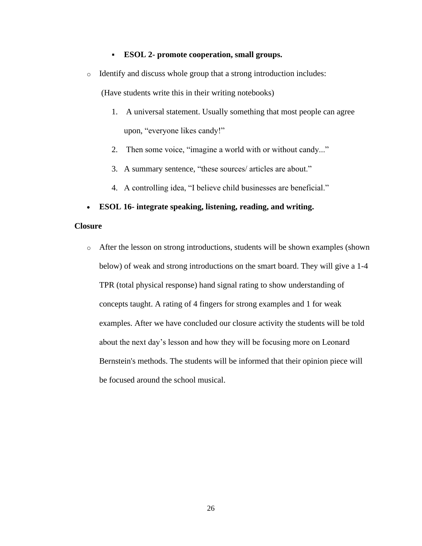#### ▪ **ESOL 2- promote cooperation, small groups.**

o Identify and discuss whole group that a strong introduction includes:

(Have students write this in their writing notebooks)

- 1. A universal statement. Usually something that most people can agree upon, "everyone likes candy!"
- 2. Then some voice, "imagine a world with or without candy..."
- 3. A summary sentence, "these sources/ articles are about."
- 4. A controlling idea, "I believe child businesses are beneficial."
- **ESOL 16- integrate speaking, listening, reading, and writing.**

#### **Closure**

o After the lesson on strong introductions, students will be shown examples (shown below) of weak and strong introductions on the smart board. They will give a 1-4 TPR (total physical response) hand signal rating to show understanding of concepts taught. A rating of 4 fingers for strong examples and 1 for weak examples. After we have concluded our closure activity the students will be told about the next day's lesson and how they will be focusing more on Leonard Bernstein's methods. The students will be informed that their opinion piece will be focused around the school musical.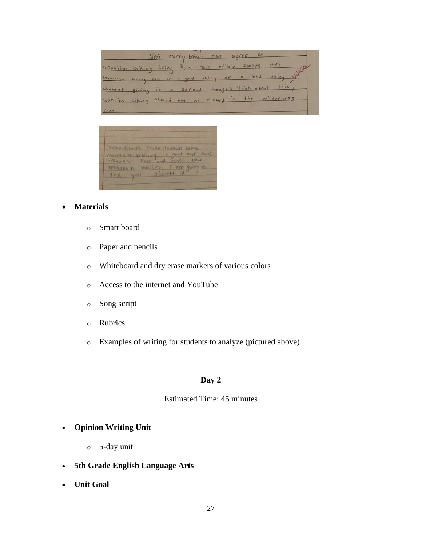Not every bely, can agree  $\circ$  $+na+$ 1.000 tion biking being fun. This office  $31a$ tes  $+ h \overline{in}$  $ba \lambda$ a <u>lountin biking can be a good thing or</u> without giving it a second thought think about  $this$ the wilderness rountion biling should not be allowed in



## • **Materials**

- o Smart board
- o Paper and pencils
- o Whiteboard and dry erase markers of various colors
- o Access to the internet and YouTube
- o Song script
- o Rubrics
- o Examples of writing for students to analyze (pictured above)

## **Day 2**

#### Estimated Time: 45 minutes

## • **Opinion Writing Unit**

- o 5-day unit
- **5th Grade English Language Arts**
- **Unit Goal**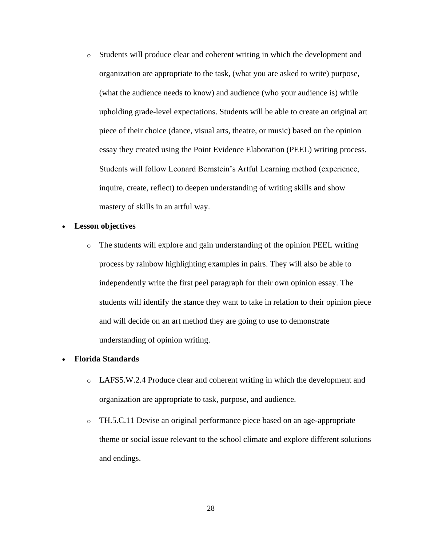o Students will produce clear and coherent writing in which the development and organization are appropriate to the task, (what you are asked to write) purpose, (what the audience needs to know) and audience (who your audience is) while upholding grade-level expectations. Students will be able to create an original art piece of their choice (dance, visual arts, theatre, or music) based on the opinion essay they created using the Point Evidence Elaboration (PEEL) writing process. Students will follow Leonard Bernstein's Artful Learning method (experience, inquire, create, reflect) to deepen understanding of writing skills and show mastery of skills in an artful way.

#### • **Lesson objectives**

o The students will explore and gain understanding of the opinion PEEL writing process by rainbow highlighting examples in pairs. They will also be able to independently write the first peel paragraph for their own opinion essay. The students will identify the stance they want to take in relation to their opinion piece and will decide on an art method they are going to use to demonstrate understanding of opinion writing.

#### • **Florida Standards**

- o LAFS5.W.2.4 Produce clear and coherent writing in which the development and organization are appropriate to task, purpose, and audience.
- o TH.5.C.11 Devise an original performance piece based on an age-appropriate theme or social issue relevant to the school climate and explore different solutions and endings.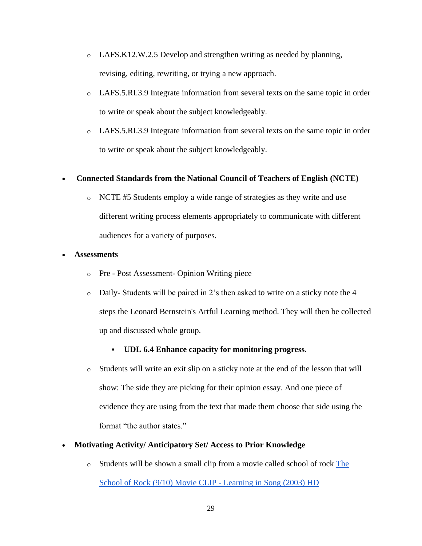- o LAFS.K12.W.2.5 Develop and strengthen writing as needed by planning, revising, editing, rewriting, or trying a new approach.
- o LAFS.5.RI.3.9 Integrate information from several texts on the same topic in order to write or speak about the subject knowledgeably.
- o LAFS.5.RI.3.9 Integrate information from several texts on the same topic in order to write or speak about the subject knowledgeably.

## • **Connected Standards from the National Council of Teachers of English (NCTE)**

o NCTE #5 Students employ a wide range of strategies as they write and use different writing process elements appropriately to communicate with different audiences for a variety of purposes.

## • **Assessments**

- o Pre Post Assessment- Opinion Writing piece
- $\circ$  Daily-Students will be paired in 2's then asked to write on a sticky note the 4 steps the Leonard Bernstein's Artful Learning method. They will then be collected up and discussed whole group.

## ▪ **UDL 6.4 Enhance capacity for monitoring progress.**

o Students will write an exit slip on a sticky note at the end of the lesson that will show: The side they are picking for their opinion essay. And one piece of evidence they are using from the text that made them choose that side using the format "the author states."

## • **Motivating Activity/ Anticipatory Set/ Access to Prior Knowledge**

o Students will be shown a small clip from a movie called school of rock [The](https://www.youtube.com/watch?v=4KJD4aP90YQ)  [School of Rock \(9/10\) Movie CLIP -](https://www.youtube.com/watch?v=4KJD4aP90YQ) Learning in Song (2003) HD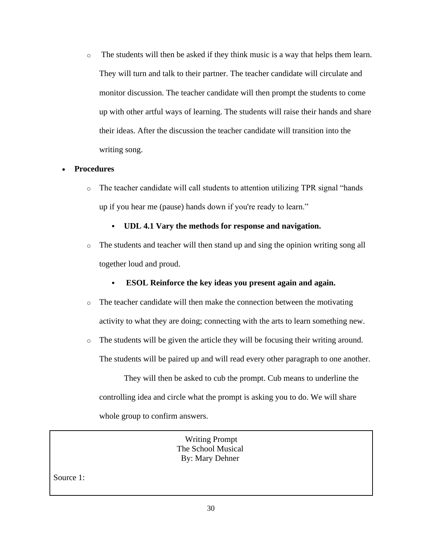o The students will then be asked if they think music is a way that helps them learn. They will turn and talk to their partner. The teacher candidate will circulate and monitor discussion. The teacher candidate will then prompt the students to come up with other artful ways of learning. The students will raise their hands and share their ideas. After the discussion the teacher candidate will transition into the writing song.

## • **Procedures**

- o The teacher candidate will call students to attention utilizing TPR signal "hands up if you hear me (pause) hands down if you're ready to learn."
	- **UDL 4.1 Vary the methods for response and navigation.**
- $\circ$  The students and teacher will then stand up and sing the opinion writing song all together loud and proud.
	- **ESOL Reinforce the key ideas you present again and again.**
- $\circ$  The teacher candidate will then make the connection between the motivating activity to what they are doing; connecting with the arts to learn something new.
- o The students will be given the article they will be focusing their writing around. The students will be paired up and will read every other paragraph to one another.

They will then be asked to cub the prompt. Cub means to underline the controlling idea and circle what the prompt is asking you to do. We will share whole group to confirm answers.

> Writing Prompt The School Musical By: Mary Dehner

Source 1: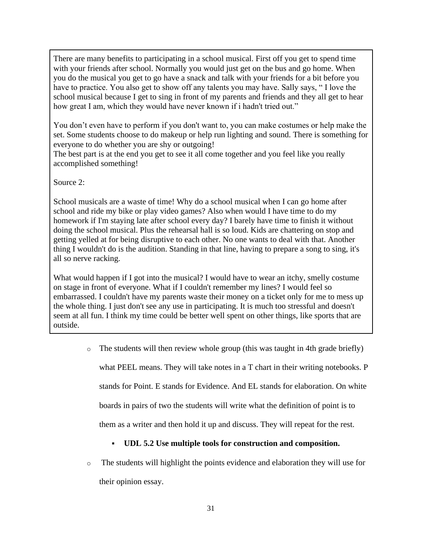There are many benefits to participating in a school musical. First off you get to spend time with your friends after school. Normally you would just get on the bus and go home. When you do the musical you get to go have a snack and talk with your friends for a bit before you have to practice. You also get to show off any talents you may have. Sally says, " I love the school musical because I get to sing in front of my parents and friends and they all get to hear how great I am, which they would have never known if i hadn't tried out."

You don't even have to perform if you don't want to, you can make costumes or help make the set. Some students choose to do makeup or help run lighting and sound. There is something for everyone to do whether you are shy or outgoing!

The best part is at the end you get to see it all come together and you feel like you really accomplished something!

Source 2:

School musicals are a waste of time! Why do a school musical when I can go home after school and ride my bike or play video games? Also when would I have time to do my homework if I'm staying late after school every day? I barely have time to finish it without doing the school musical. Plus the rehearsal hall is so loud. Kids are chattering on stop and getting yelled at for being disruptive to each other. No one wants to deal with that. Another thing I wouldn't do is the audition. Standing in that line, having to prepare a song to sing, it's all so nerve racking.

What would happen if I got into the musical? I would have to wear an itchy, smelly costume on stage in front of everyone. What if I couldn't remember my lines? I would feel so embarrassed. I couldn't have my parents waste their money on a ticket only for me to mess up the whole thing. I just don't see any use in participating. It is much too stressful and doesn't seem at all fun. I think my time could be better well spent on other things, like sports that are outside.

> o The students will then review whole group (this was taught in 4th grade briefly) what PEEL means. They will take notes in a T chart in their writing notebooks. P stands for Point. E stands for Evidence. And EL stands for elaboration. On white boards in pairs of two the students will write what the definition of point is to them as a writer and then hold it up and discuss. They will repeat for the rest.

# ▪ **UDL 5.2 Use multiple tools for construction and composition.**

o The students will highlight the points evidence and elaboration they will use for their opinion essay.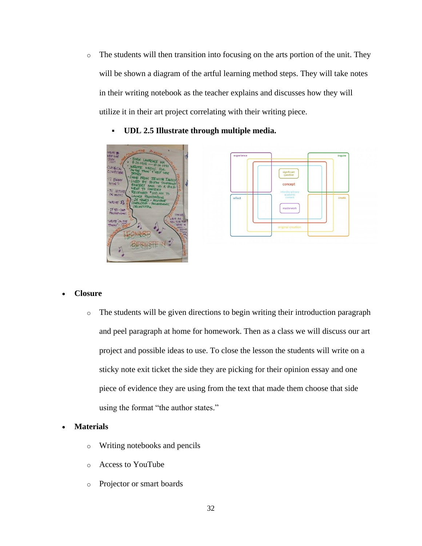o The students will then transition into focusing on the arts portion of the unit. They will be shown a diagram of the artful learning method steps. They will take notes in their writing notebook as the teacher explains and discusses how they will utilize it in their art project correlating with their writing piece.



▪ **UDL 2.5 Illustrate through multiple media.**



## • **Closure**

o The students will be given directions to begin writing their introduction paragraph and peel paragraph at home for homework. Then as a class we will discuss our art project and possible ideas to use. To close the lesson the students will write on a sticky note exit ticket the side they are picking for their opinion essay and one piece of evidence they are using from the text that made them choose that side using the format "the author states."

## • **Materials**

- o Writing notebooks and pencils
- o Access to YouTube
- o Projector or smart boards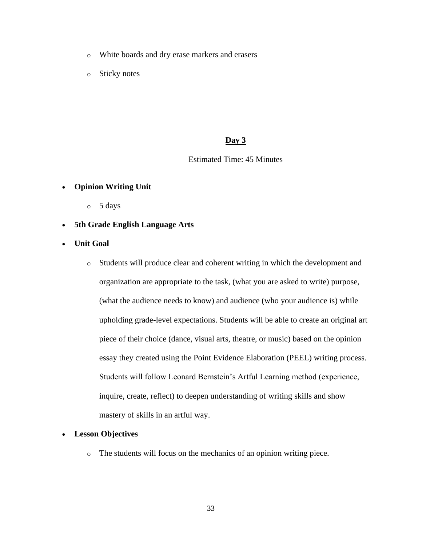- o White boards and dry erase markers and erasers
- o Sticky notes

## **Day 3**

## Estimated Time: 45 Minutes

## • **Opinion Writing Unit**

- $\circ$  5 days
- **5th Grade English Language Arts**
- **Unit Goal**
	- o Students will produce clear and coherent writing in which the development and organization are appropriate to the task, (what you are asked to write) purpose, (what the audience needs to know) and audience (who your audience is) while upholding grade-level expectations. Students will be able to create an original art piece of their choice (dance, visual arts, theatre, or music) based on the opinion essay they created using the Point Evidence Elaboration (PEEL) writing process. Students will follow Leonard Bernstein's Artful Learning method (experience, inquire, create, reflect) to deepen understanding of writing skills and show mastery of skills in an artful way.

## • **Lesson Objectives**

o The students will focus on the mechanics of an opinion writing piece.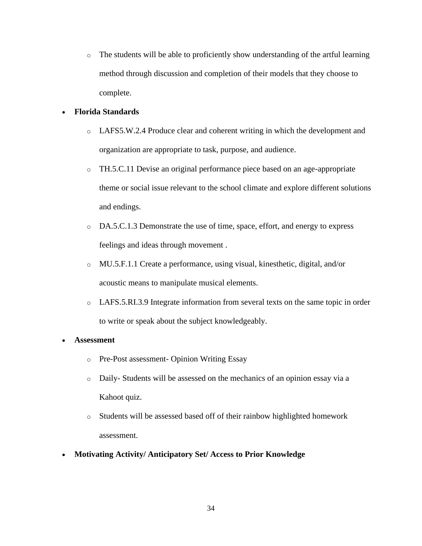o The students will be able to proficiently show understanding of the artful learning method through discussion and completion of their models that they choose to complete.

## • **Florida Standards**

- o LAFS5.W.2.4 Produce clear and coherent writing in which the development and organization are appropriate to task, purpose, and audience.
- o TH.5.C.11 Devise an original performance piece based on an age-appropriate theme or social issue relevant to the school climate and explore different solutions and endings.
- o DA.5.C.1.3 Demonstrate the use of time, space, effort, and energy to express feelings and ideas through movement .
- o MU.5.F.1.1 Create a performance, using visual, kinesthetic, digital, and/or acoustic means to manipulate musical elements.
- o LAFS.5.RI.3.9 Integrate information from several texts on the same topic in order to write or speak about the subject knowledgeably.

## • **Assessment**

- o Pre-Post assessment- Opinion Writing Essay
- o Daily- Students will be assessed on the mechanics of an opinion essay via a Kahoot quiz.
- o Students will be assessed based off of their rainbow highlighted homework assessment.
- **Motivating Activity/ Anticipatory Set/ Access to Prior Knowledge**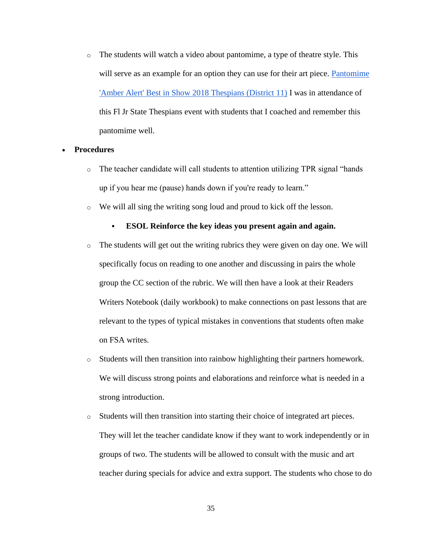o The students will watch a video about pantomime, a type of theatre style. This will serve as an example for an option they can use for their art piece. Pantomime ['Amber Alert' Best in Show 2018 Thespians \(District 11\)](https://www.youtube.com/watch?v=xI3HRhMWdXc) I was in attendance of this Fl Jr State Thespians event with students that I coached and remember this pantomime well.

#### • **Procedures**

- $\circ$  The teacher candidate will call students to attention utilizing TPR signal "hands" up if you hear me (pause) hands down if you're ready to learn."
- o We will all sing the writing song loud and proud to kick off the lesson.

#### ▪ **ESOL Reinforce the key ideas you present again and again.**

- $\circ$  The students will get out the writing rubrics they were given on day one. We will specifically focus on reading to one another and discussing in pairs the whole group the CC section of the rubric. We will then have a look at their Readers Writers Notebook (daily workbook) to make connections on past lessons that are relevant to the types of typical mistakes in conventions that students often make on FSA writes.
- o Students will then transition into rainbow highlighting their partners homework. We will discuss strong points and elaborations and reinforce what is needed in a strong introduction.
- o Students will then transition into starting their choice of integrated art pieces. They will let the teacher candidate know if they want to work independently or in groups of two. The students will be allowed to consult with the music and art teacher during specials for advice and extra support. The students who chose to do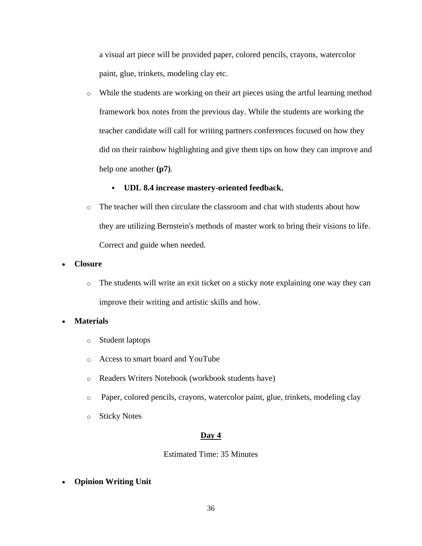a visual art piece will be provided paper, colored pencils, crayons, watercolor paint, glue, trinkets, modeling clay etc.

o While the students are working on their art pieces using the artful learning method framework box notes from the previous day. While the students are working the teacher candidate will call for writing partners conferences focused on how they did on their rainbow highlighting and give them tips on how they can improve and help one another **(p7)**.

## ▪ **UDL 8.4 increase mastery-oriented feedback.**

o The teacher will then circulate the classroom and chat with students about how they are utilizing Bernstein's methods of master work to bring their visions to life. Correct and guide when needed.

### • **Closure**

o The students will write an exit ticket on a sticky note explaining one way they can improve their writing and artistic skills and how.

## • **Materials**

- o Student laptops
- o Access to smart board and YouTube
- o Readers Writers Notebook (workbook students have)
- o Paper, colored pencils, crayons, watercolor paint, glue, trinkets, modeling clay
- o Sticky Notes

## **Day 4**

## Estimated Time: 35 Minutes

• **Opinion Writing Unit**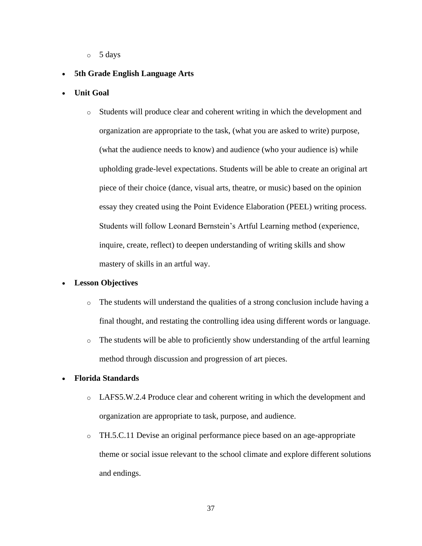o 5 days

## • **5th Grade English Language Arts**

- **Unit Goal**
	- o Students will produce clear and coherent writing in which the development and organization are appropriate to the task, (what you are asked to write) purpose, (what the audience needs to know) and audience (who your audience is) while upholding grade-level expectations. Students will be able to create an original art piece of their choice (dance, visual arts, theatre, or music) based on the opinion essay they created using the Point Evidence Elaboration (PEEL) writing process. Students will follow Leonard Bernstein's Artful Learning method (experience, inquire, create, reflect) to deepen understanding of writing skills and show mastery of skills in an artful way.

## • **Lesson Objectives**

- $\circ$  The students will understand the qualities of a strong conclusion include having a final thought, and restating the controlling idea using different words or language.
- o The students will be able to proficiently show understanding of the artful learning method through discussion and progression of art pieces.

#### • **Florida Standards**

- o LAFS5.W.2.4 Produce clear and coherent writing in which the development and organization are appropriate to task, purpose, and audience.
- o TH.5.C.11 Devise an original performance piece based on an age-appropriate theme or social issue relevant to the school climate and explore different solutions and endings.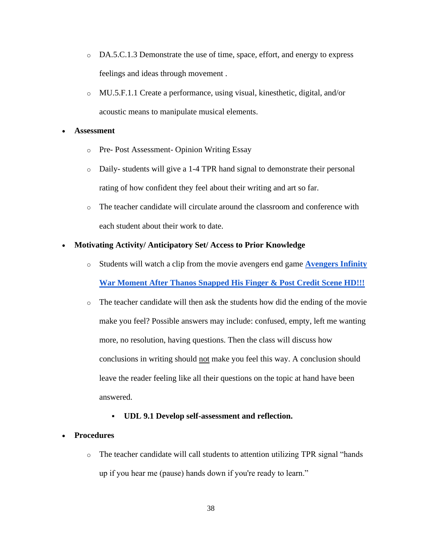- o DA.5.C.1.3 Demonstrate the use of time, space, effort, and energy to express feelings and ideas through movement .
- o MU.5.F.1.1 Create a performance, using visual, kinesthetic, digital, and/or acoustic means to manipulate musical elements.

#### • **Assessment**

- o Pre- Post Assessment- Opinion Writing Essay
- o Daily- students will give a 1-4 TPR hand signal to demonstrate their personal rating of how confident they feel about their writing and art so far.
- $\circ$  The teacher candidate will circulate around the classroom and conference with each student about their work to date.

### • **Motivating Activity/ Anticipatory Set/ Access to Prior Knowledge**

- o Students will watch a clip from the movie avengers end game **[Avengers Infinity](https://www.youtube.com/watch?v=dFomwoVngOI)  [War Moment After Thanos Snapped His Finger & Post Credit Scene HD!!!](https://www.youtube.com/watch?v=dFomwoVngOI)**
- $\circ$  The teacher candidate will then ask the students how did the ending of the movie make you feel? Possible answers may include: confused, empty, left me wanting more, no resolution, having questions. Then the class will discuss how conclusions in writing should not make you feel this way. A conclusion should leave the reader feeling like all their questions on the topic at hand have been answered.

#### ▪ **UDL 9.1 Develop self-assessment and reflection.**

## • **Procedures**

o The teacher candidate will call students to attention utilizing TPR signal "hands up if you hear me (pause) hands down if you're ready to learn."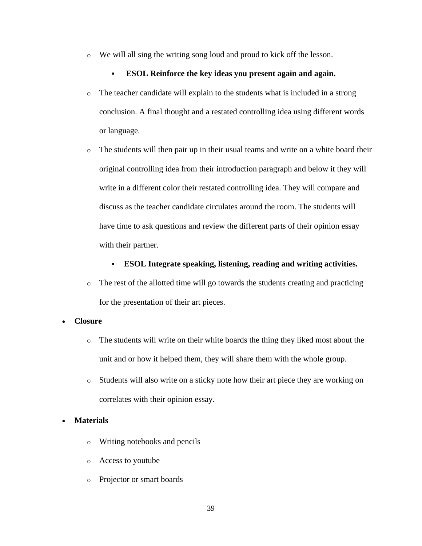o We will all sing the writing song loud and proud to kick off the lesson.

### ▪ **ESOL Reinforce the key ideas you present again and again.**

- $\circ$  The teacher candidate will explain to the students what is included in a strong conclusion. A final thought and a restated controlling idea using different words or language.
- o The students will then pair up in their usual teams and write on a white board their original controlling idea from their introduction paragraph and below it they will write in a different color their restated controlling idea. They will compare and discuss as the teacher candidate circulates around the room. The students will have time to ask questions and review the different parts of their opinion essay with their partner.

### ▪ **ESOL Integrate speaking, listening, reading and writing activities.**

 $\circ$  The rest of the allotted time will go towards the students creating and practicing for the presentation of their art pieces.

#### • **Closure**

- $\circ$  The students will write on their white boards the thing they liked most about the unit and or how it helped them, they will share them with the whole group.
- $\circ$  Students will also write on a sticky note how their art piece they are working on correlates with their opinion essay.

## • **Materials**

- o Writing notebooks and pencils
- o Access to youtube
- o Projector or smart boards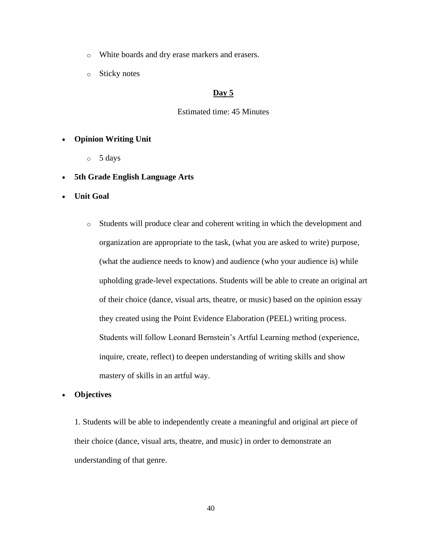- o White boards and dry erase markers and erasers.
- o Sticky notes

## **Day 5**

#### Estimated time: 45 Minutes

#### • **Opinion Writing Unit**

o 5 days

#### • **5th Grade English Language Arts**

- **Unit Goal**
	- o Students will produce clear and coherent writing in which the development and organization are appropriate to the task, (what you are asked to write) purpose, (what the audience needs to know) and audience (who your audience is) while upholding grade-level expectations. Students will be able to create an original art of their choice (dance, visual arts, theatre, or music) based on the opinion essay they created using the Point Evidence Elaboration (PEEL) writing process. Students will follow Leonard Bernstein's Artful Learning method (experience, inquire, create, reflect) to deepen understanding of writing skills and show mastery of skills in an artful way.

#### • **Objectives**

1. Students will be able to independently create a meaningful and original art piece of their choice (dance, visual arts, theatre, and music) in order to demonstrate an understanding of that genre.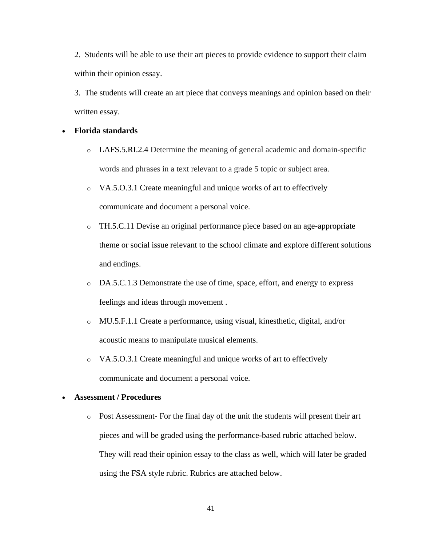2. Students will be able to use their art pieces to provide evidence to support their claim within their opinion essay.

3. The students will create an art piece that conveys meanings and opinion based on their written essay.

#### • **Florida standards**

- o LAFS.5.RI.2.4 Determine the meaning of general academic and domain-specific words and phrases in a text relevant to a grade 5 topic or subject area.
- o VA.5.O.3.1 Create meaningful and unique works of art to effectively communicate and document a personal voice.
- o TH.5.C.11 Devise an original performance piece based on an age-appropriate theme or social issue relevant to the school climate and explore different solutions and endings.
- o DA.5.C.1.3 Demonstrate the use of time, space, effort, and energy to express feelings and ideas through movement .
- o MU.5.F.1.1 Create a performance, using visual, kinesthetic, digital, and/or acoustic means to manipulate musical elements.
- o VA.5.O.3.1 Create meaningful and unique works of art to effectively communicate and document a personal voice.

#### • **Assessment / Procedures**

o Post Assessment- For the final day of the unit the students will present their art pieces and will be graded using the performance-based rubric attached below. They will read their opinion essay to the class as well, which will later be graded using the FSA style rubric. Rubrics are attached below.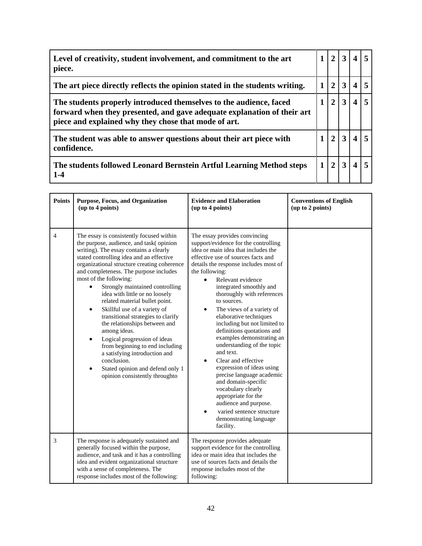| Level of creativity, student involvement, and commitment to the art<br>piece.                                                                                                                         |  | $\overline{2}$        | $\mathbf{3}$ |                  |  |
|-------------------------------------------------------------------------------------------------------------------------------------------------------------------------------------------------------|--|-----------------------|--------------|------------------|--|
| The art piece directly reflects the opinion stated in the students writing.                                                                                                                           |  | $\mathcal{D}_{\cdot}$ | 3            |                  |  |
| The students properly introduced themselves to the audience, faced<br>forward when they presented, and gave adequate explanation of their art<br>piece and explained why they chose that mode of art. |  | $\mathbf{2}$          | 3            | $\boldsymbol{4}$ |  |
| The student was able to answer questions about their art piece with<br>confidence.                                                                                                                    |  |                       | 3            |                  |  |
| The students followed Leonard Bernstein Artful Learning Method steps<br>$1 - 4$                                                                                                                       |  | $\mathcal{D}_{\cdot}$ | 3            |                  |  |

| <b>Points</b>  | Purpose, Focus, and Organization<br>(up to 4 points)                                                                                                                                                                                                                                                                                                                                                                                                                                                                                                                                                                                                                                                                                                                    | <b>Evidence and Elaboration</b><br>(up to 4 points)                                                                                                                                                                                                                                                                                                                                                                                                                                                                                                                                                                                                                                                                                                                         | <b>Conventions of English</b><br>(up to 2 points) |
|----------------|-------------------------------------------------------------------------------------------------------------------------------------------------------------------------------------------------------------------------------------------------------------------------------------------------------------------------------------------------------------------------------------------------------------------------------------------------------------------------------------------------------------------------------------------------------------------------------------------------------------------------------------------------------------------------------------------------------------------------------------------------------------------------|-----------------------------------------------------------------------------------------------------------------------------------------------------------------------------------------------------------------------------------------------------------------------------------------------------------------------------------------------------------------------------------------------------------------------------------------------------------------------------------------------------------------------------------------------------------------------------------------------------------------------------------------------------------------------------------------------------------------------------------------------------------------------------|---------------------------------------------------|
| $\overline{4}$ | The essay is consistently focused within<br>the purpose, audience, and task(opinion<br>writing). The essay contains a clearly<br>stated controlling idea and an effective<br>organizational structure creating coherence<br>and completeness. The purpose includes<br>most of the following:<br>Strongly maintained controlling<br>$\bullet$<br>idea with little or no loosely<br>related material bullet point.<br>Skillful use of a variety of<br>$\bullet$<br>transitional strategies to clarify<br>the relationships between and<br>among ideas.<br>Logical progression of ideas<br>$\bullet$<br>from beginning to end including<br>a satisfying introduction and<br>conclusion.<br>Stated opinion and defend only 1<br>$\bullet$<br>opinion consistently throughto | The essay provides convincing<br>support/evidence for the controlling<br>idea or main idea that includes the<br>effective use of sources facts and<br>details the response includes most of<br>the following:<br>Relevant evidence<br>integrated smoothly and<br>thoroughly with references<br>to sources.<br>The views of a variety of<br>٠<br>elaborative techniques<br>including but not limited to<br>definitions quotations and<br>examples demonstrating an<br>understanding of the topic<br>and text.<br>Clear and effective<br>$\bullet$<br>expression of ideas using<br>precise language academic<br>and domain-specific<br>vocabulary clearly<br>appropriate for the<br>audience and purpose.<br>varied sentence structure<br>demonstrating language<br>facility. |                                                   |
| 3              | The response is adequately sustained and<br>generally focused within the purpose,<br>audience, and task and it has a controlling<br>idea and evident organizational structure<br>with a sense of completeness. The<br>response includes most of the following:                                                                                                                                                                                                                                                                                                                                                                                                                                                                                                          | The response provides adequate<br>support evidence for the controlling<br>idea or main idea that includes the<br>use of sources facts and details the<br>response includes most of the<br>following:                                                                                                                                                                                                                                                                                                                                                                                                                                                                                                                                                                        |                                                   |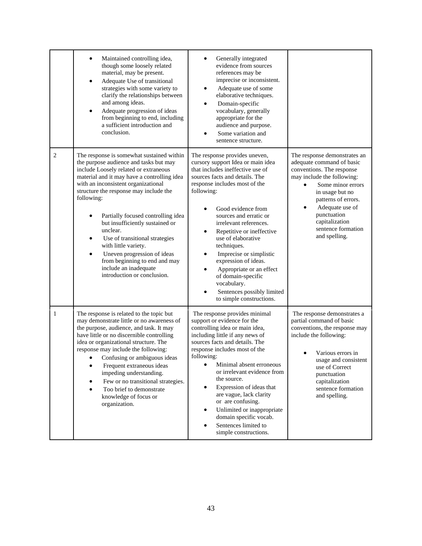|                | Maintained controlling idea,<br>though some loosely related<br>material, may be present.<br>Adequate Use of transitional<br>$\bullet$<br>strategies with some variety to<br>clarify the relationships between<br>and among ideas.<br>Adequate progression of ideas<br>$\bullet$<br>from beginning to end, including<br>a sufficient introduction and<br>conclusion.                                                                                                                                                                                                         | Generally integrated<br>evidence from sources<br>references may be<br>imprecise or inconsistent.<br>Adequate use of some<br>٠<br>elaborative techniques.<br>Domain-specific<br>٠<br>vocabulary, generally<br>appropriate for the<br>audience and purpose.<br>Some variation and<br>sentence structure.                                                                                                                                                                                                            |                                                                                                                                                                                                                                                                                             |
|----------------|-----------------------------------------------------------------------------------------------------------------------------------------------------------------------------------------------------------------------------------------------------------------------------------------------------------------------------------------------------------------------------------------------------------------------------------------------------------------------------------------------------------------------------------------------------------------------------|-------------------------------------------------------------------------------------------------------------------------------------------------------------------------------------------------------------------------------------------------------------------------------------------------------------------------------------------------------------------------------------------------------------------------------------------------------------------------------------------------------------------|---------------------------------------------------------------------------------------------------------------------------------------------------------------------------------------------------------------------------------------------------------------------------------------------|
| $\overline{2}$ | The response is somewhat sustained within<br>the purpose audience and tasks but may<br>include Loosely related or extraneous<br>material and it may have a controlling idea<br>with an inconsistent organizational<br>structure the response may include the<br>following:<br>Partially focused controlling idea<br>but insufficiently sustained or<br>unclear.<br>Use of transitional strategies<br>$\bullet$<br>with little variety.<br>Uneven progression of ideas<br>$\bullet$<br>from beginning to end and may<br>include an inadequate<br>introduction or conclusion. | The response provides uneven,<br>cursory support Idea or main idea<br>that includes ineffective use of<br>sources facts and details. The<br>response includes most of the<br>following:<br>Good evidence from<br>sources and erratic or<br>irrelevant references.<br>Repetitive or ineffective<br>use of elaborative<br>techniques.<br>Imprecise or simplistic<br>expression of ideas.<br>Appropriate or an effect<br>of domain-specific<br>vocabulary.<br>Sentences possibly limited<br>to simple constructions. | The response demonstrates an<br>adequate command of basic<br>conventions. The response<br>may include the following:<br>Some minor errors<br>$\bullet$<br>in usage but no<br>patterns of errors.<br>Adequate use of<br>punctuation<br>capitalization<br>sentence formation<br>and spelling. |
| -1             | The response is related to the topic but<br>may demonstrate little or no awareness of<br>the purpose, audience, and task. It may<br>have little or no discernible controlling<br>idea or organizational structure. The<br>response may include the following:<br>• Confusing or ambiguous ideas<br>Frequent extraneous ideas<br>٠<br>impeding understanding.<br>Few or no transitional strategies.<br>٠<br>Too brief to demonstrate<br>knowledge of focus or<br>organization.                                                                                               | The response provides minimal<br>support or evidence for the<br>controlling idea or main idea,<br>including little if any news of<br>sources facts and details. The<br>response includes most of the<br>following:<br>Minimal absent erroneous<br>or irrelevant evidence from<br>the source.<br>Expression of ideas that<br>are vague, lack clarity<br>or are confusing.<br>Unlimited or inappropriate<br>domain specific vocab.<br>Sentences limited to<br>simple constructions.                                 | The response demonstrates a<br>partial command of basic<br>conventions, the response may<br>include the following:<br>Various errors in<br>usage and consistent<br>use of Correct<br>punctuation<br>capitalization<br>sentence formation<br>and spelling.                                   |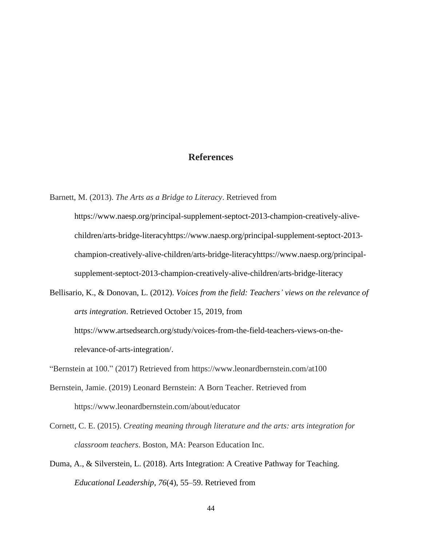## **References**

Barnett, M. (2013). *The Arts as a Bridge to Literacy*. Retrieved from

[https://www.naesp.org/principal-supplement-septoct-2013-champion-creatively-alive](https://www.naesp.org/principal-supplement-septoct-2013-champion-creatively-alive-children/arts-bridge-literacyhttps:/www.naesp.org/principal-supplement-septoct-2013-champion-creatively-alive-children/arts-bridge-literacyhttps:/www.naesp.org/principal-supplement-septoct-2013-champion-creatively-alive-children/arts-bridge-literacy)[children/arts-bridge-literacyhttps://www.naesp.org/principal-supplement-septoct-2013](https://www.naesp.org/principal-supplement-septoct-2013-champion-creatively-alive-children/arts-bridge-literacyhttps:/www.naesp.org/principal-supplement-septoct-2013-champion-creatively-alive-children/arts-bridge-literacyhttps:/www.naesp.org/principal-supplement-septoct-2013-champion-creatively-alive-children/arts-bridge-literacy) [champion-creatively-alive-children/arts-bridge-literacyhttps://www.naesp.org/principal](https://www.naesp.org/principal-supplement-septoct-2013-champion-creatively-alive-children/arts-bridge-literacyhttps:/www.naesp.org/principal-supplement-septoct-2013-champion-creatively-alive-children/arts-bridge-literacyhttps:/www.naesp.org/principal-supplement-septoct-2013-champion-creatively-alive-children/arts-bridge-literacy)[supplement-septoct-2013-champion-creatively-alive-children/arts-bridge-literacy](https://www.naesp.org/principal-supplement-septoct-2013-champion-creatively-alive-children/arts-bridge-literacyhttps:/www.naesp.org/principal-supplement-septoct-2013-champion-creatively-alive-children/arts-bridge-literacyhttps:/www.naesp.org/principal-supplement-septoct-2013-champion-creatively-alive-children/arts-bridge-literacy)

Bellisario, K., & Donovan, L. (2012). *Voices from the field: Teachers' views on the relevance of arts integration*. Retrieved October 15, 2019, from [https://www.artsedsearch.org/study/voices-from-the-field-teachers-views-on-the](https://www.artsedsearch.org/study/voices-from-the-field-teachers-views-on-the-relevance-of-arts-integration/)[relevance-of-arts-integration/.](https://www.artsedsearch.org/study/voices-from-the-field-teachers-views-on-the-relevance-of-arts-integration/)

- Bernstein, Jamie. (2019) Leonard Bernstein: A Born Teacher. Retrieved from https://www.leonardbernstein.com/about/educator
- Cornett, C. E. (2015). *Creating meaning through literature and the arts: arts integration for classroom teachers*. Boston, MA: Pearson Education Inc.
- Duma, A., & Silverstein, L. (2018). Arts Integration: A Creative Pathway for Teaching. *Educational Leadership*, *76*(4), 55–59. Retrieved from

<sup>&</sup>quot;Bernstein at 100." (2017) Retrieved from https://www.leonardbernstein.com/at100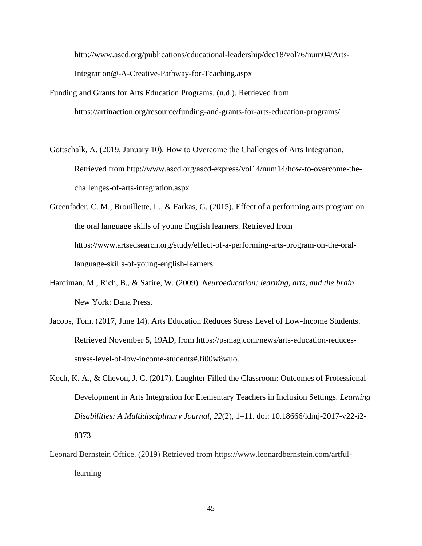[http://www.ascd.org/publications/educational-leadership/dec18/vol76/num04/Arts-](http://www.ascd.org/publications/educational-leadership/dec18/vol76/num04/Arts-Integration@-A-Creative-Pathway-for-Teaching.aspx)[Integration@-A-Creative-Pathway-for-Teaching.aspx](http://www.ascd.org/publications/educational-leadership/dec18/vol76/num04/Arts-Integration@-A-Creative-Pathway-for-Teaching.aspx)

- Funding and Grants for Arts Education Programs. (n.d.). Retrieved from https://artinaction.org/resource/funding-and-grants-for-arts-education-programs/
- Gottschalk, A. (2019, January 10). How to Overcome the Challenges of Arts Integration. Retrieved from http://www.ascd.org/ascd-express/vol14/num14/how-to-overcome-thechallenges-of-arts-integration.aspx
- Greenfader, C. M., Brouillette, L., & Farkas, G. (2015). Effect of a performing arts program on the oral language skills of young English learners. Retrieved from https://www.artsedsearch.org/study/effect-of-a-performing-arts-program-on-the-orallanguage-skills-of-young-english-learners
- Hardiman, M., Rich, B., & Safire, W. (2009). *Neuroeducation: learning, arts, and the brain*. New York: Dana Press.
- Jacobs, Tom. (2017, June 14). Arts Education Reduces Stress Level of Low-Income Students. Retrieved November 5, 19AD, from https://psmag.com/news/arts-education-reducesstress-level-of-low-income-students#.fi00w8wuo.
- Koch, K. A., & Chevon, J. C. (2017). Laughter Filled the Classroom: Outcomes of Professional Development in Arts Integration for Elementary Teachers in Inclusion Settings. *Learning Disabilities: A Multidisciplinary Journal*, *22*(2), 1–11. doi: 10.18666/ldmj-2017-v22-i2- 8373
- Leonard Bernstein Office. (2019) Retrieved from https://www.leonardbernstein.com/artfullearning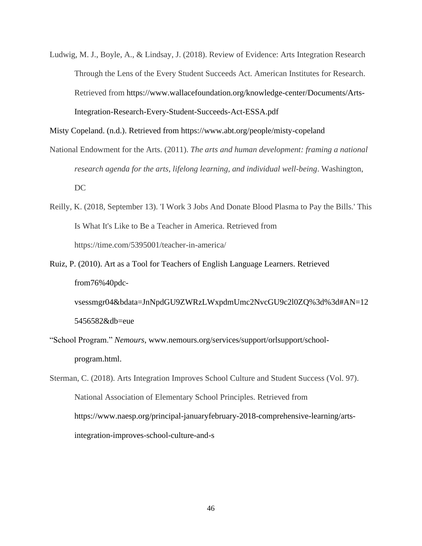Ludwig, M. J., Boyle, A., & Lindsay, J. (2018). Review of Evidence: Arts Integration Research Through the Lens of the Every Student Succeeds Act. American Institutes for Research. Retrieved from [https://www.wallacefoundation.org/knowledge-center/Documents/Arts-](https://www.wallacefoundation.org/knowledge-center/Documents/Arts-Integration-Research-Every-Student-Succeeds-Act-ESSA.pdf)[Integration-Research-Every-Student-Succeeds-Act-ESSA.pdf](https://www.wallacefoundation.org/knowledge-center/Documents/Arts-Integration-Research-Every-Student-Succeeds-Act-ESSA.pdf)

Misty Copeland. (n.d.). Retrieved from https://www.abt.org/people/misty-copeland

- National Endowment for the Arts. (2011). *The arts and human development: framing a national research agenda for the arts, lifelong learning, and individual well-being*. Washington, DC
- Reilly, K. (2018, September 13). 'I Work 3 Jobs And Donate Blood Plasma to Pay the Bills.' This Is What It's Like to Be a Teacher in America. Retrieved from https://time.com/5395001/teacher-in-america/
- Ruiz, P. (2010). Art as a Tool for Teachers of English Language Learners. Retrieved from76%40pdcvsessmgr04&bdata=JnNpdGU9ZWRzLWxpdmUmc2NvcGU9c2l0ZQ%3d%3d#AN=12

5456582&db=eue

- "School Program." *Nemours*, www.nemours.org/services/support/orlsupport/schoolprogram.html.
- Sterman, C. (2018). Arts Integration Improves School Culture and Student Success (Vol. 97). National Association of Elementary School Principles. Retrieved from [https://www.naesp.org/principal-januaryfebruary-2018-comprehensive-learning/arts](https://www.naesp.org/principal-januaryfebruary-2018-comprehensive-learning/arts-integration-improves-school-culture-and-s)[integration-improves-school-culture-and-s](https://www.naesp.org/principal-januaryfebruary-2018-comprehensive-learning/arts-integration-improves-school-culture-and-s)